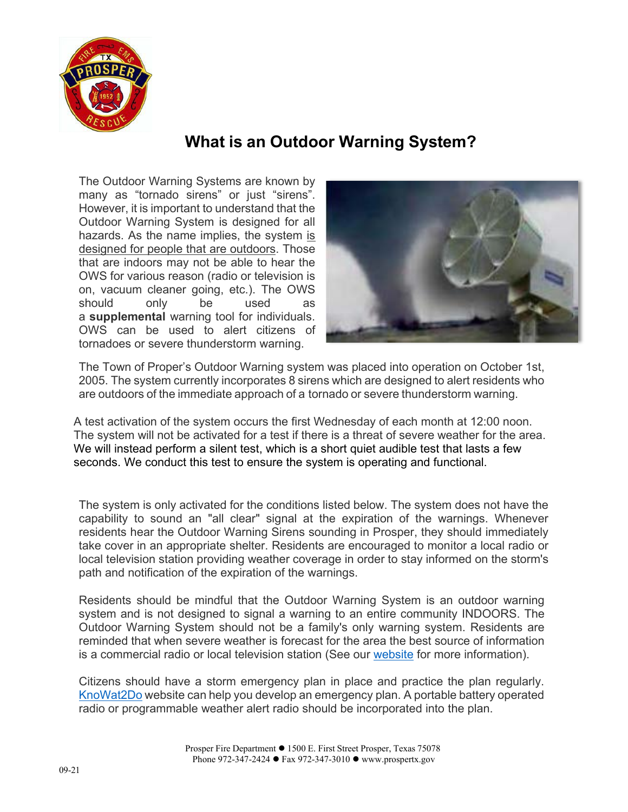

## **What is an Outdoor Warning System?**

The Outdoor Warning Systems are known by many as "tornado sirens" or just "sirens". However, it is important to understand that the Outdoor Warning System is designed for all hazards. As the name implies, the system is designed for people that are outdoors. Those that are indoors may not be able to hear the OWS for various reason (radio or television is on, vacuum cleaner going, etc.). The OWS should only be used as a **supplemental** warning tool for individuals. OWS can be used to alert citizens of tornadoes or severe thunderstorm warning.



The Town of Proper's Outdoor Warning system was placed into operation on October 1st, 2005. The system currently incorporates 8 sirens which are designed to alert residents who are outdoors of the immediate approach of a tornado or severe thunderstorm warning.

A test activation of the system occurs the first Wednesday of each month at 12:00 noon. The system will not be activated for a test if there is a threat of severe weather for the area. We will instead perform a silent test, which is a short quiet audible test that lasts a few seconds. We conduct this test to ensure the system is operating and functional.

The system is only activated for the conditions listed [below.](http://www.prospertx.gov/wp-content/uploads/Outdoor-Warning-System-Activation.pdf) The system does not have the capability to sound an "all clear" signal at the expiration of the warnings. Whenever residents hear the Outdoor Warning Sirens sounding in Prosper, they should immediately take cover in an appropriate shelter. Residents are encouraged to monitor a local radio or local television station providing weather coverage in order to stay informed on the storm's path and notification of the expiration of the warnings.

Residents should be mindful that the Outdoor Warning System is an outdoor warning system and is not designed to signal a warning to an entire community INDOORS. The Outdoor Warning System should not be a family's only warning system. Residents are reminded that when severe weather is forecast for the area the best source of information is a commercial radio or local television station (See our [website](https://www.prospertx.gov/fire-department/emergency-management/) for more information).

Citizens should have a storm emergency plan in place and practice the plan regularly. [KnoWat2Do](http://www.thinkprepareact.com/plan/) website can help you develop an emergency plan. A portable battery operated radio or programmable weather alert radio should be incorporated into the plan.